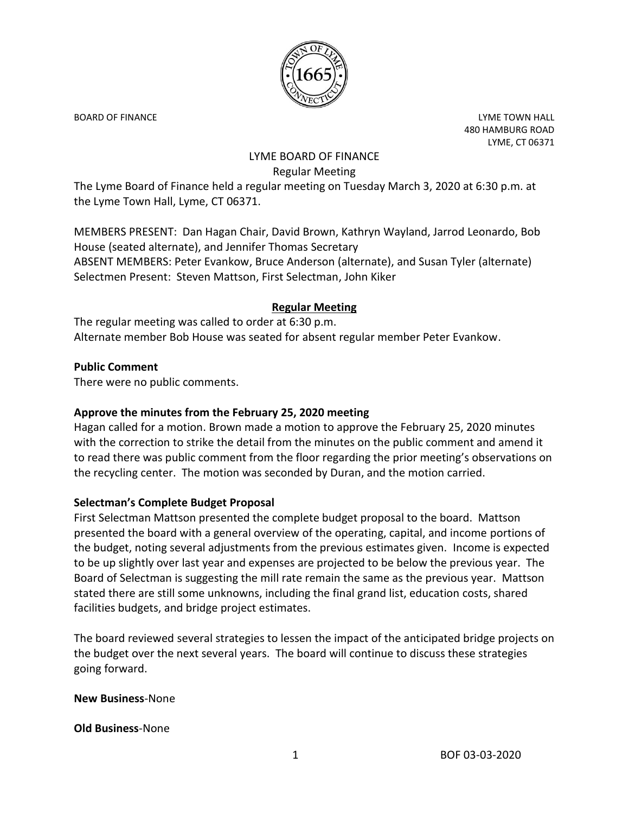

BOARD OF FINANCE **Little Struck and Struck and Struck and Struck and Struck and Struck and Struck and Struck and Struck and Struck and Struck and Struck and Struck and Struck and Struck and Struck and Struck and Struck and** 480 HAMBURG ROAD LYME, CT 06371

# LYME BOARD OF FINANCE Regular Meeting

The Lyme Board of Finance held a regular meeting on Tuesday March 3, 2020 at 6:30 p.m. at the Lyme Town Hall, Lyme, CT 06371.

MEMBERS PRESENT: Dan Hagan Chair, David Brown, Kathryn Wayland, Jarrod Leonardo, Bob House (seated alternate), and Jennifer Thomas Secretary ABSENT MEMBERS: Peter Evankow, Bruce Anderson (alternate), and Susan Tyler (alternate) Selectmen Present: Steven Mattson, First Selectman, John Kiker

# **Regular Meeting**

The regular meeting was called to order at 6:30 p.m. Alternate member Bob House was seated for absent regular member Peter Evankow.

### **Public Comment**

There were no public comments.

# **Approve the minutes from the February 25, 2020 meeting**

Hagan called for a motion. Brown made a motion to approve the February 25, 2020 minutes with the correction to strike the detail from the minutes on the public comment and amend it to read there was public comment from the floor regarding the prior meeting's observations on the recycling center. The motion was seconded by Duran, and the motion carried.

# **Selectman's Complete Budget Proposal**

First Selectman Mattson presented the complete budget proposal to the board. Mattson presented the board with a general overview of the operating, capital, and income portions of the budget, noting several adjustments from the previous estimates given. Income is expected to be up slightly over last year and expenses are projected to be below the previous year. The Board of Selectman is suggesting the mill rate remain the same as the previous year. Mattson stated there are still some unknowns, including the final grand list, education costs, shared facilities budgets, and bridge project estimates.

The board reviewed several strategies to lessen the impact of the anticipated bridge projects on the budget over the next several years. The board will continue to discuss these strategies going forward.

#### **New Business**-None

#### **Old Business**-None